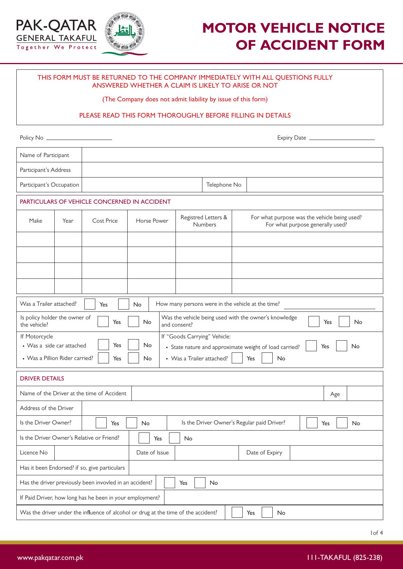

# **MOTOR VEHICLE NOTICE OF ACCIDENT FORM**

# THIS FORM MUST BE RETURNED TO THE COMPANY IMMEDIATELY WITH ALL QUESTIONS FULLY ANSWERED WHETHER A CLAIM IS LIKELY TO ARISE OR NOT

(The Company does not admit liability by issue of this form)

# PLEASE READ THIS FORM THOROUGHLY BEFORE FILLING IN DETAILS

| Policy No.                                                                                                                                                                                                                                              |                                                                                              | Expiry Date _                                |  |                                |                                                                                  |  |  |
|---------------------------------------------------------------------------------------------------------------------------------------------------------------------------------------------------------------------------------------------------------|----------------------------------------------------------------------------------------------|----------------------------------------------|--|--------------------------------|----------------------------------------------------------------------------------|--|--|
| Name of Participant                                                                                                                                                                                                                                     |                                                                                              |                                              |  |                                |                                                                                  |  |  |
| Participant's Address                                                                                                                                                                                                                                   |                                                                                              |                                              |  |                                |                                                                                  |  |  |
| Participant's Occupation                                                                                                                                                                                                                                |                                                                                              |                                              |  | Telephone No                   |                                                                                  |  |  |
|                                                                                                                                                                                                                                                         |                                                                                              | PARTICULARS OF VEHICLE CONCERNED IN ACCIDENT |  |                                |                                                                                  |  |  |
| Make<br>Year                                                                                                                                                                                                                                            |                                                                                              | <b>Cost Price</b><br>Horse Power             |  | Registred Letters &<br>Numbers | For what purpose was the vehicle being used?<br>For what purpose generally used? |  |  |
|                                                                                                                                                                                                                                                         |                                                                                              |                                              |  |                                |                                                                                  |  |  |
|                                                                                                                                                                                                                                                         |                                                                                              |                                              |  |                                |                                                                                  |  |  |
|                                                                                                                                                                                                                                                         |                                                                                              |                                              |  |                                |                                                                                  |  |  |
|                                                                                                                                                                                                                                                         |                                                                                              |                                              |  |                                |                                                                                  |  |  |
|                                                                                                                                                                                                                                                         | Was a Trailer attached?<br>How many persons were in the vehicle at the time?<br>Yes<br>No    |                                              |  |                                |                                                                                  |  |  |
| Is policy holder the owner of<br>Was the vehicle being used with the owner's knowledge<br>Yes<br>No<br>Yes<br>No<br>the vehicle?<br>and consent?                                                                                                        |                                                                                              |                                              |  |                                |                                                                                  |  |  |
| If "Goods Carrying" Vehicle:<br>If Motorcycle<br>Yes<br>No<br>• Was a side car attached<br>Yes<br>No<br>• State nature and approximate weight of load carried?<br>• Was a Pillion Rider carried?<br>• Was a Trailer attached?<br>Yes<br>No<br>Yes<br>No |                                                                                              |                                              |  |                                |                                                                                  |  |  |
| <b>DRIVER DETAILS</b>                                                                                                                                                                                                                                   |                                                                                              |                                              |  |                                |                                                                                  |  |  |
| Name of the Driver at the time of Accident<br>Age                                                                                                                                                                                                       |                                                                                              |                                              |  |                                |                                                                                  |  |  |
| Address of the Driver                                                                                                                                                                                                                                   |                                                                                              |                                              |  |                                |                                                                                  |  |  |
|                                                                                                                                                                                                                                                         | Is the Driver Owner?<br>Is the Driver Owner's Regular paid Driver?<br>No<br>No<br>Yes<br>Yes |                                              |  |                                |                                                                                  |  |  |
|                                                                                                                                                                                                                                                         | Is the Driver Owner's Relative or Friend?<br>Yes<br>No                                       |                                              |  |                                |                                                                                  |  |  |
| Licence No                                                                                                                                                                                                                                              |                                                                                              | Date of Issue<br>Date of Expiry              |  |                                |                                                                                  |  |  |
| Has it been Endorsed? if so, give particulars                                                                                                                                                                                                           |                                                                                              |                                              |  |                                |                                                                                  |  |  |
| Has the driver previously been invovled in an accident?<br>No<br>Yes                                                                                                                                                                                    |                                                                                              |                                              |  |                                |                                                                                  |  |  |
| If Paid Driver, how long has he been in your employment?                                                                                                                                                                                                |                                                                                              |                                              |  |                                |                                                                                  |  |  |
| Was the driver under the influence of alcohol or drug at the time of the accident?<br>No<br>Yes                                                                                                                                                         |                                                                                              |                                              |  |                                |                                                                                  |  |  |

1of 4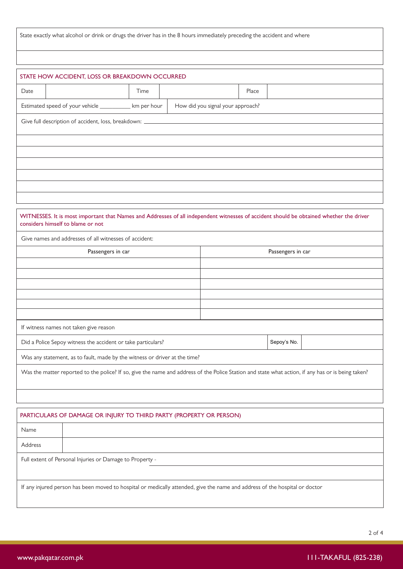State exactly what alcohol or drink or drugs the driver has in the 8 hours immediately preceding the accident and where

| STATE HOW ACCIDENT, LOSS OR BREAKDOWN OCCURRED |                                                                                               |  |       |  |  |  |
|------------------------------------------------|-----------------------------------------------------------------------------------------------|--|-------|--|--|--|
| Date                                           |                                                                                               |  | Place |  |  |  |
|                                                | Estimated speed of your vehicle ____________ km per hour<br>How did you signal your approach? |  |       |  |  |  |
|                                                |                                                                                               |  |       |  |  |  |
|                                                |                                                                                               |  |       |  |  |  |
|                                                |                                                                                               |  |       |  |  |  |
|                                                |                                                                                               |  |       |  |  |  |
|                                                |                                                                                               |  |       |  |  |  |
|                                                |                                                                                               |  |       |  |  |  |
|                                                |                                                                                               |  |       |  |  |  |
|                                                |                                                                                               |  |       |  |  |  |

| WITNESSES. It is most important that Names and Addresses of all independent witnesses of accident should be obtained whether the driver<br>considers himself to blame or not |  |  |  |
|------------------------------------------------------------------------------------------------------------------------------------------------------------------------------|--|--|--|
| Give names and addresses of all witnesses of accident:                                                                                                                       |  |  |  |
| Passengers in car<br>Passengers in car                                                                                                                                       |  |  |  |
|                                                                                                                                                                              |  |  |  |
|                                                                                                                                                                              |  |  |  |
|                                                                                                                                                                              |  |  |  |
|                                                                                                                                                                              |  |  |  |
|                                                                                                                                                                              |  |  |  |
|                                                                                                                                                                              |  |  |  |
| If witness names not taken give reason                                                                                                                                       |  |  |  |
| Sepoy's No.<br>Did a Police Sepoy witness the accident or take particulars?                                                                                                  |  |  |  |
| Was any statement, as to fault, made by the witness or driver at the time?                                                                                                   |  |  |  |
| Was the matter reported to the police? If so, give the name and address of the Police Station and state what action, if any has or is being taken?                           |  |  |  |

| PARTICULARS OF DAMAGE OR INJURY TO THIRD PARTY (PROPERTY OR PERSON) |                                                                                                                             |  |  |  |
|---------------------------------------------------------------------|-----------------------------------------------------------------------------------------------------------------------------|--|--|--|
| Name                                                                |                                                                                                                             |  |  |  |
| Address                                                             |                                                                                                                             |  |  |  |
|                                                                     | Full extent of Personal Injuries or Damage to Property -                                                                    |  |  |  |
|                                                                     | If any injured person has been moved to hospital or medically attended, give the name and address of the hospital or doctor |  |  |  |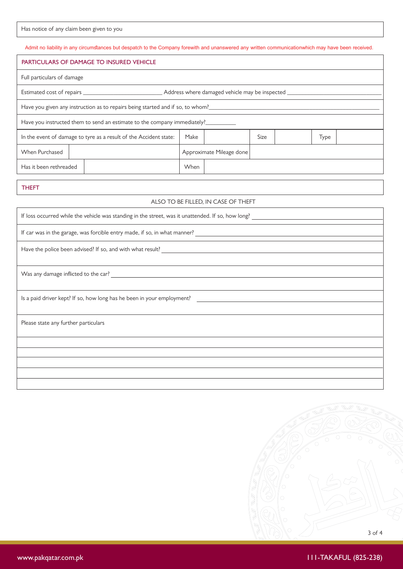#### Admit no liability in any circumstances but despatch to the Company forewith and unanswered any written communicationwhich may have been received.

| <b>PARTICULARS OF DAMAGE TO INSURED VEHICLE</b>                                |  |                                                |             |  |      |  |
|--------------------------------------------------------------------------------|--|------------------------------------------------|-------------|--|------|--|
| Full particulars of damage                                                     |  |                                                |             |  |      |  |
| Estimated cost of repairs                                                      |  | Address where damaged vehicle may be inspected |             |  |      |  |
| Have you given any instruction as to repairs being started and if so, to whom? |  |                                                |             |  |      |  |
| Have you instructed them to send an estimate to the company immediately?       |  |                                                |             |  |      |  |
| In the event of damage to tyre as a result of the Accident state:              |  |                                                | <b>Size</b> |  | Type |  |
| When Purchased                                                                 |  | Approximate Mileage done                       |             |  |      |  |
| Has it been rethreaded                                                         |  |                                                |             |  |      |  |
|                                                                                |  |                                                |             |  |      |  |

## THEFT

### ALSO TO BE FILLED, IN CASE OF THEFT

| If car was in the garage, was forcible entry made, if so, in what manner?<br><u> and the garage</u> of the garage, was forcible entry made, if so, in what manner?<br><u>Letting the substitute of the substitute of the substitute of th</u> |
|-----------------------------------------------------------------------------------------------------------------------------------------------------------------------------------------------------------------------------------------------|
|                                                                                                                                                                                                                                               |
| Have the police been advised? If so, and with what result?<br><u> and the subset of the contract of the police been advised?</u> If so, and with what result?                                                                                 |
|                                                                                                                                                                                                                                               |
| Was any damage inflicted to the car?<br><u> </u>                                                                                                                                                                                              |
|                                                                                                                                                                                                                                               |
|                                                                                                                                                                                                                                               |
|                                                                                                                                                                                                                                               |
|                                                                                                                                                                                                                                               |
| Please state any further particulars                                                                                                                                                                                                          |
|                                                                                                                                                                                                                                               |
|                                                                                                                                                                                                                                               |
|                                                                                                                                                                                                                                               |
|                                                                                                                                                                                                                                               |
|                                                                                                                                                                                                                                               |
|                                                                                                                                                                                                                                               |